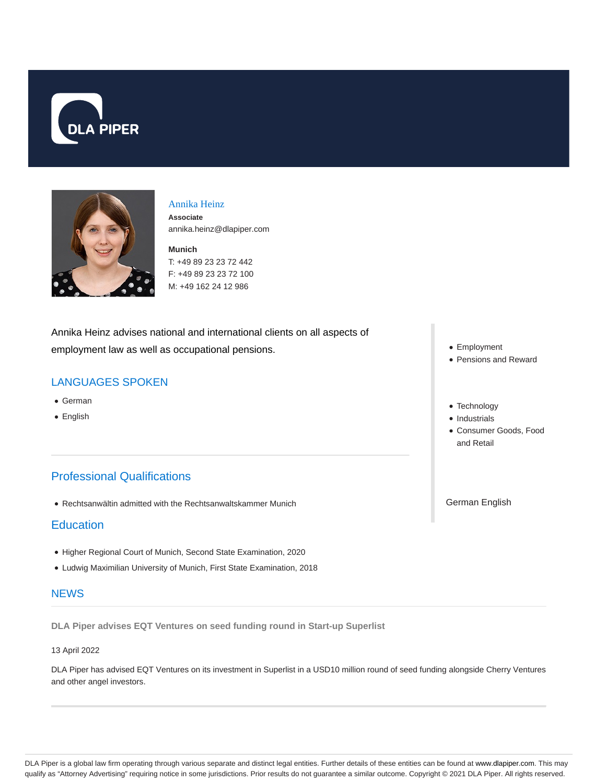



### Annika Heinz

**Associate** annika.heinz@dlapiper.com

**Munich** T: +49 89 23 23 72 442 F: +49 89 23 23 72 100 M: +49 162 24 12 986

Annika Heinz advises national and international clients on all aspects of employment law as well as occupational pensions.

# LANGUAGES SPOKEN

- German
- English

# Professional Qualifications

Rechtsanwältin admitted with the Rechtsanwaltskammer Munich

## **Education**

- Higher Regional Court of Munich, Second State Examination, 2020
- Ludwig Maximilian University of Munich, First State Examination, 2018

### **NEWS**

**DLA Piper advises EQT Ventures on seed funding round in Start-up Superlist**

### 13 April 2022

DLA Piper has advised EQT Ventures on its investment in Superlist in a USD10 million round of seed funding alongside Cherry Ventures and other angel investors.

- Employment
- Pensions and Reward
- Technology
- Industrials
- Consumer Goods, Food and Retail

German English